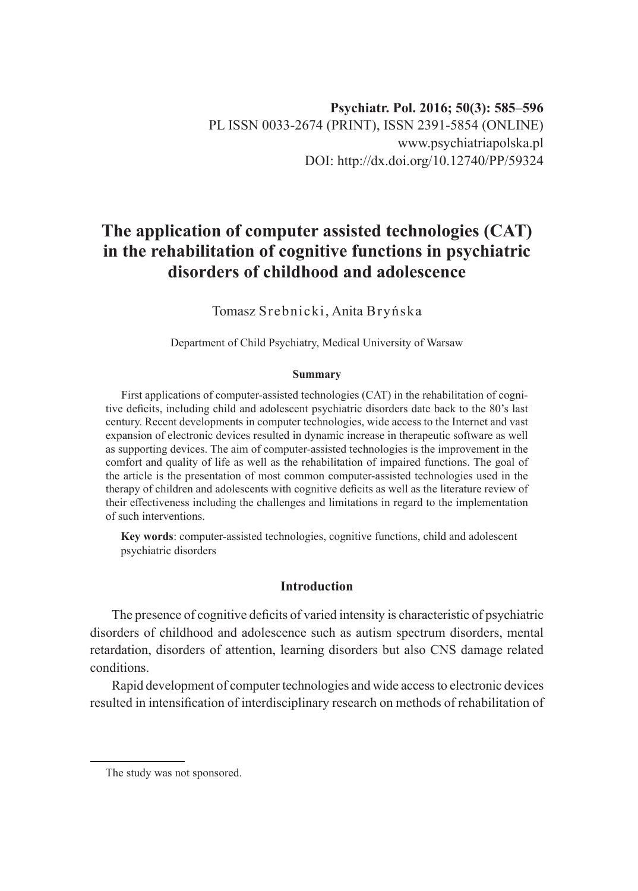# **The application of computer assisted technologies (CAT) in the rehabilitation of cognitive functions in psychiatric disorders of childhood and adolescence**

Tomasz Srebnicki, Anita Bryńska

Department of Child Psychiatry, Medical University of Warsaw

#### **Summary**

First applications of computer-assisted technologies (CAT) in the rehabilitation of cognitive deficits, including child and adolescent psychiatric disorders date back to the 80's last century. Recent developments in computer technologies, wide access to the Internet and vast expansion of electronic devices resulted in dynamic increase in therapeutic software as well as supporting devices. The aim of computer-assisted technologies is the improvement in the comfort and quality of life as well as the rehabilitation of impaired functions. The goal of the article is the presentation of most common computer-assisted technologies used in the therapy of children and adolescents with cognitive deficits as well as the literature review of their effectiveness including the challenges and limitations in regard to the implementation of such interventions.

**Key words**: computer-assisted technologies, cognitive functions, child and adolescent psychiatric disorders

## **Introduction**

The presence of cognitive deficits of varied intensity is characteristic of psychiatric disorders of childhood and adolescence such as autism spectrum disorders, mental retardation, disorders of attention, learning disorders but also CNS damage related conditions.

Rapid development of computer technologies and wide access to electronic devices resulted in intensification of interdisciplinary research on methods of rehabilitation of

The study was not sponsored.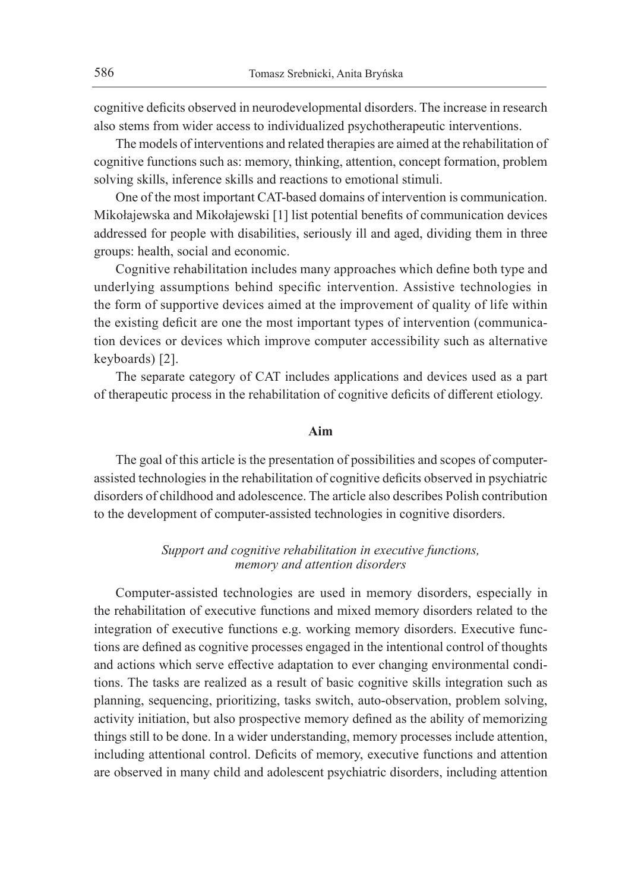cognitive deficits observed in neurodevelopmental disorders. The increase in research also stems from wider access to individualized psychotherapeutic interventions.

The models of interventions and related therapies are aimed at the rehabilitation of cognitive functions such as: memory, thinking, attention, concept formation, problem solving skills, inference skills and reactions to emotional stimuli.

One of the most important CAT-based domains of intervention is communication. Mikołajewska and Mikołajewski [1] list potential benefits of communication devices addressed for people with disabilities, seriously ill and aged, dividing them in three groups: health, social and economic.

Cognitive rehabilitation includes many approaches which define both type and underlying assumptions behind specific intervention. Assistive technologies in the form of supportive devices aimed at the improvement of quality of life within the existing deficit are one the most important types of intervention (communication devices or devices which improve computer accessibility such as alternative keyboards) [2].

The separate category of CAT includes applications and devices used as a part of therapeutic process in the rehabilitation of cognitive deficits of different etiology.

## **Aim**

The goal of this article is the presentation of possibilities and scopes of computerassisted technologies in the rehabilitation of cognitive deficits observed in psychiatric disorders of childhood and adolescence. The article also describes Polish contribution to the development of computer-assisted technologies in cognitive disorders.

## *Support and cognitive rehabilitation in executive functions, memory and attention disorders*

Computer-assisted technologies are used in memory disorders, especially in the rehabilitation of executive functions and mixed memory disorders related to the integration of executive functions e.g. working memory disorders. Executive functions are defined as cognitive processes engaged in the intentional control of thoughts and actions which serve effective adaptation to ever changing environmental conditions. The tasks are realized as a result of basic cognitive skills integration such as planning, sequencing, prioritizing, tasks switch, auto-observation, problem solving, activity initiation, but also prospective memory defined as the ability of memorizing things still to be done. In a wider understanding, memory processes include attention, including attentional control. Deficits of memory, executive functions and attention are observed in many child and adolescent psychiatric disorders, including attention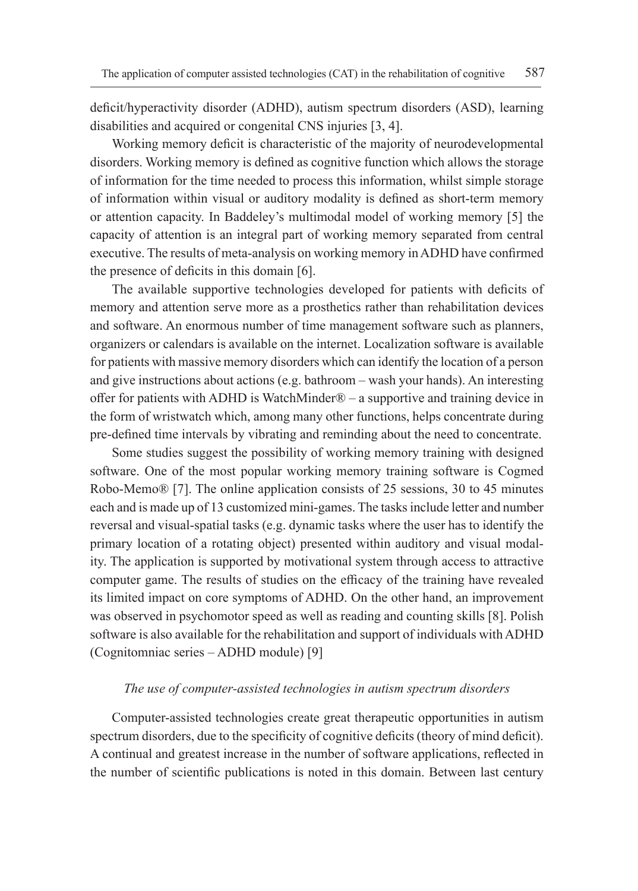deficit/hyperactivity disorder (ADHD), autism spectrum disorders (ASD), learning disabilities and acquired or congenital CNS injuries [3, 4].

Working memory deficit is characteristic of the majority of neurodevelopmental disorders. Working memory is defined as cognitive function which allows the storage of information for the time needed to process this information, whilst simple storage of information within visual or auditory modality is defined as short-term memory or attention capacity. In Baddeley's multimodal model of working memory [5] the capacity of attention is an integral part of working memory separated from central executive. The results of meta-analysis on working memory in ADHD have confirmed the presence of deficits in this domain [6].

The available supportive technologies developed for patients with deficits of memory and attention serve more as a prosthetics rather than rehabilitation devices and software. An enormous number of time management software such as planners, organizers or calendars is available on the internet. Localization software is available for patients with massive memory disorders which can identify the location of a person and give instructions about actions (e.g. bathroom – wash your hands). An interesting offer for patients with ADHD is WatchMinder® – a supportive and training device in the form of wristwatch which, among many other functions, helps concentrate during pre-defined time intervals by vibrating and reminding about the need to concentrate.

Some studies suggest the possibility of working memory training with designed software. One of the most popular working memory training software is Cogmed Robo-Memo® [7]. The online application consists of 25 sessions, 30 to 45 minutes each and is made up of 13 customized mini-games. The tasks include letter and number reversal and visual-spatial tasks (e.g. dynamic tasks where the user has to identify the primary location of a rotating object) presented within auditory and visual modality. The application is supported by motivational system through access to attractive computer game. The results of studies on the efficacy of the training have revealed its limited impact on core symptoms of ADHD. On the other hand, an improvement was observed in psychomotor speed as well as reading and counting skills [8]. Polish software is also available for the rehabilitation and support of individuals with ADHD (Cognitomniac series – ADHD module) [9]

#### *The use of computer-assisted technologies in autism spectrum disorders*

Computer-assisted technologies create great therapeutic opportunities in autism spectrum disorders, due to the specificity of cognitive deficits (theory of mind deficit). A continual and greatest increase in the number of software applications, reflected in the number of scientific publications is noted in this domain. Between last century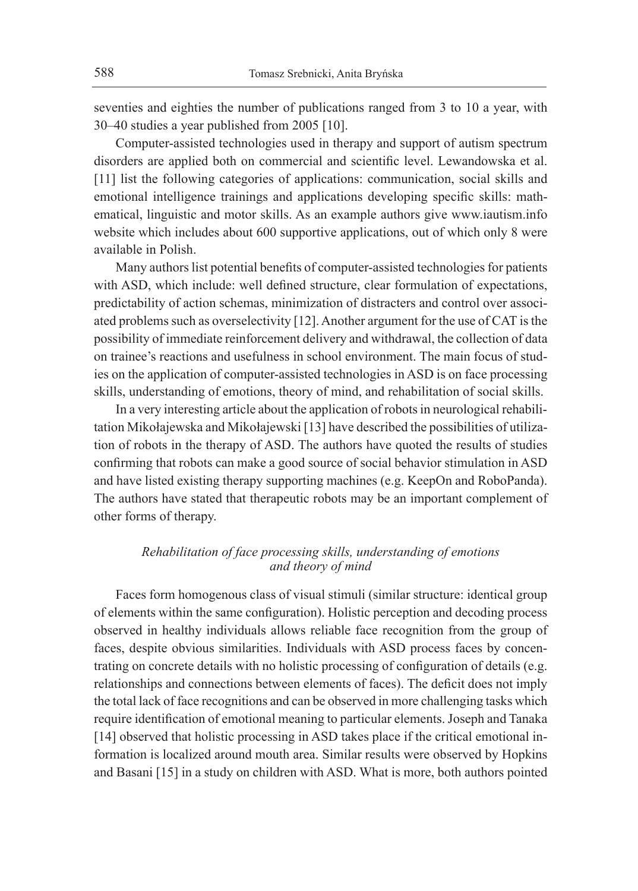seventies and eighties the number of publications ranged from 3 to 10 a year, with 30–40 studies a year published from 2005 [10].

Computer-assisted technologies used in therapy and support of autism spectrum disorders are applied both on commercial and scientific level. Lewandowska et al. [11] list the following categories of applications: communication, social skills and emotional intelligence trainings and applications developing specific skills: mathematical, linguistic and motor skills. As an example authors give www.iautism.info website which includes about 600 supportive applications, out of which only 8 were available in Polish.

Many authors list potential benefits of computer-assisted technologies for patients with ASD, which include: well defined structure, clear formulation of expectations, predictability of action schemas, minimization of distracters and control over associated problems such as overselectivity [12]. Another argument for the use of CAT is the possibility of immediate reinforcement delivery and withdrawal, the collection of data on trainee's reactions and usefulness in school environment. The main focus of studies on the application of computer-assisted technologies in ASD is on face processing skills, understanding of emotions, theory of mind, and rehabilitation of social skills.

In a very interesting article about the application of robots in neurological rehabilitation Mikołajewska and Mikołajewski [13] have described the possibilities of utilization of robots in the therapy of ASD. The authors have quoted the results of studies confirming that robots can make a good source of social behavior stimulation in ASD and have listed existing therapy supporting machines (e.g. KeepOn and RoboPanda). The authors have stated that therapeutic robots may be an important complement of other forms of therapy.

## *Rehabilitation of face processing skills, understanding of emotions and theory of mind*

Faces form homogenous class of visual stimuli (similar structure: identical group of elements within the same configuration). Holistic perception and decoding process observed in healthy individuals allows reliable face recognition from the group of faces, despite obvious similarities. Individuals with ASD process faces by concentrating on concrete details with no holistic processing of configuration of details (e.g. relationships and connections between elements of faces). The deficit does not imply the total lack of face recognitions and can be observed in more challenging tasks which require identification of emotional meaning to particular elements. Joseph and Tanaka [14] observed that holistic processing in ASD takes place if the critical emotional information is localized around mouth area. Similar results were observed by Hopkins and Basani [15] in a study on children with ASD. What is more, both authors pointed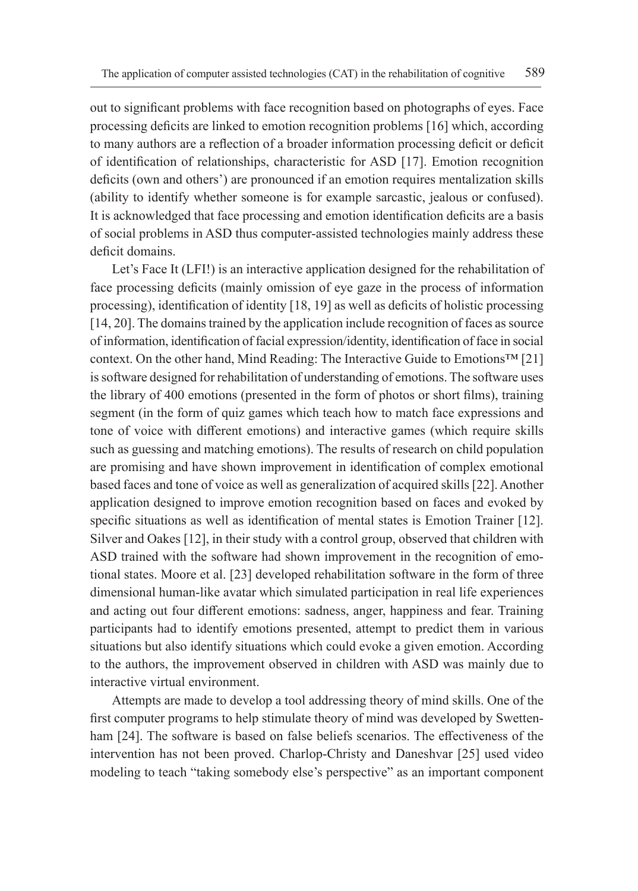out to significant problems with face recognition based on photographs of eyes. Face processing deficits are linked to emotion recognition problems [16] which, according to many authors are a reflection of a broader information processing deficit or deficit of identification of relationships, characteristic for ASD [17]. Emotion recognition deficits (own and others') are pronounced if an emotion requires mentalization skills (ability to identify whether someone is for example sarcastic, jealous or confused). It is acknowledged that face processing and emotion identification deficits are a basis of social problems in ASD thus computer-assisted technologies mainly address these deficit domains.

Let's Face It (LFI!) is an interactive application designed for the rehabilitation of face processing deficits (mainly omission of eye gaze in the process of information processing), identification of identity [18, 19] as well as deficits of holistic processing [14, 20]. The domains trained by the application include recognition of faces as source of information, identification of facial expression/identity, identification of face in social context. On the other hand, Mind Reading: The Interactive Guide to Emotions™ [21] is software designed for rehabilitation of understanding of emotions. The software uses the library of 400 emotions (presented in the form of photos or short films), training segment (in the form of quiz games which teach how to match face expressions and tone of voice with different emotions) and interactive games (which require skills such as guessing and matching emotions). The results of research on child population are promising and have shown improvement in identification of complex emotional based faces and tone of voice as well as generalization of acquired skills [22]. Another application designed to improve emotion recognition based on faces and evoked by specific situations as well as identification of mental states is Emotion Trainer [12]. Silver and Oakes [12], in their study with a control group, observed that children with ASD trained with the software had shown improvement in the recognition of emotional states. Moore et al. [23] developed rehabilitation software in the form of three dimensional human-like avatar which simulated participation in real life experiences and acting out four different emotions: sadness, anger, happiness and fear. Training participants had to identify emotions presented, attempt to predict them in various situations but also identify situations which could evoke a given emotion. According to the authors, the improvement observed in children with ASD was mainly due to interactive virtual environment.

Attempts are made to develop a tool addressing theory of mind skills. One of the first computer programs to help stimulate theory of mind was developed by Swettenham [24]. The software is based on false beliefs scenarios. The effectiveness of the intervention has not been proved. Charlop-Christy and Daneshvar [25] used video modeling to teach "taking somebody else's perspective" as an important component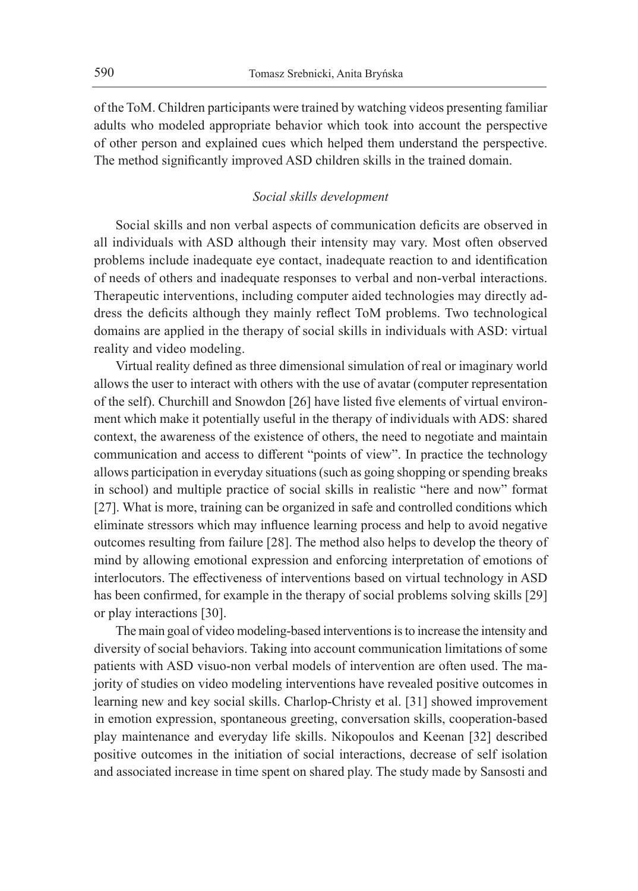of the ToM. Children participants were trained by watching videos presenting familiar adults who modeled appropriate behavior which took into account the perspective of other person and explained cues which helped them understand the perspective. The method significantly improved ASD children skills in the trained domain.

## *Social skills development*

Social skills and non verbal aspects of communication deficits are observed in all individuals with ASD although their intensity may vary. Most often observed problems include inadequate eye contact, inadequate reaction to and identification of needs of others and inadequate responses to verbal and non-verbal interactions. Therapeutic interventions, including computer aided technologies may directly address the deficits although they mainly reflect ToM problems. Two technological domains are applied in the therapy of social skills in individuals with ASD: virtual reality and video modeling.

Virtual reality defined as three dimensional simulation of real or imaginary world allows the user to interact with others with the use of avatar (computer representation of the self). Churchill and Snowdon [26] have listed five elements of virtual environment which make it potentially useful in the therapy of individuals with ADS: shared context, the awareness of the existence of others, the need to negotiate and maintain communication and access to different "points of view". In practice the technology allows participation in everyday situations (such as going shopping or spending breaks in school) and multiple practice of social skills in realistic "here and now" format [27]. What is more, training can be organized in safe and controlled conditions which eliminate stressors which may influence learning process and help to avoid negative outcomes resulting from failure [28]. The method also helps to develop the theory of mind by allowing emotional expression and enforcing interpretation of emotions of interlocutors. The effectiveness of interventions based on virtual technology in ASD has been confirmed, for example in the therapy of social problems solving skills [29] or play interactions [30].

The main goal of video modeling-based interventions is to increase the intensity and diversity of social behaviors. Taking into account communication limitations of some patients with ASD visuo-non verbal models of intervention are often used. The majority of studies on video modeling interventions have revealed positive outcomes in learning new and key social skills. Charlop-Christy et al. [31] showed improvement in emotion expression, spontaneous greeting, conversation skills, cooperation-based play maintenance and everyday life skills. Nikopoulos and Keenan [32] described positive outcomes in the initiation of social interactions, decrease of self isolation and associated increase in time spent on shared play. The study made by Sansosti and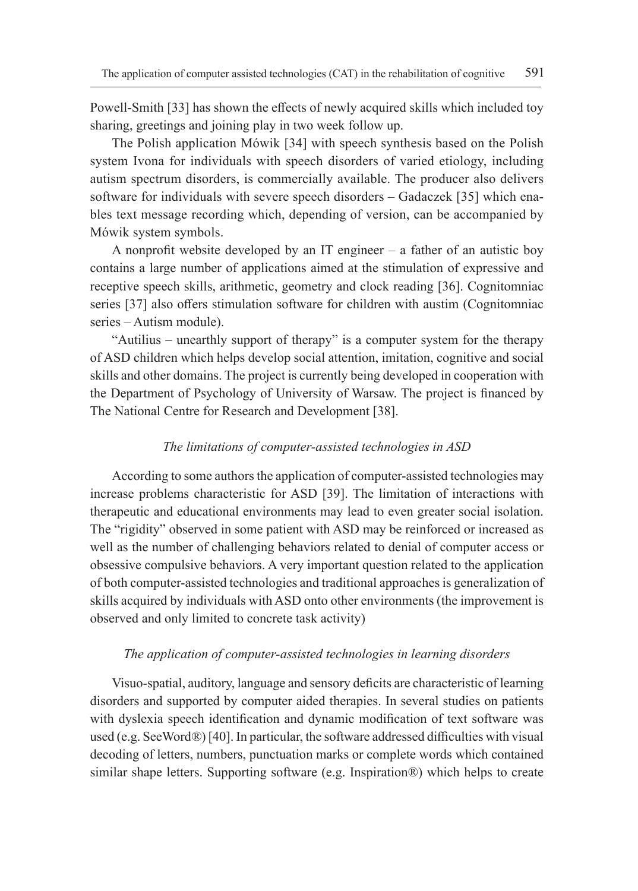Powell-Smith [33] has shown the effects of newly acquired skills which included toy sharing, greetings and joining play in two week follow up.

The Polish application Mówik [34] with speech synthesis based on the Polish system Ivona for individuals with speech disorders of varied etiology, including autism spectrum disorders, is commercially available. The producer also delivers software for individuals with severe speech disorders – Gadaczek [35] which enables text message recording which, depending of version, can be accompanied by Mówik system symbols.

A nonprofit website developed by an IT engineer – a father of an autistic boy contains a large number of applications aimed at the stimulation of expressive and receptive speech skills, arithmetic, geometry and clock reading [36]. Cognitomniac series [37] also offers stimulation software for children with austim (Cognitomniac series – Autism module).

"Autilius – unearthly support of therapy" is a computer system for the therapy of ASD children which helps develop social attention, imitation, cognitive and social skills and other domains. The project is currently being developed in cooperation with the Department of Psychology of University of Warsaw. The project is financed by The National Centre for Research and Development [38].

#### *The limitations of computer-assisted technologies in ASD*

According to some authors the application of computer-assisted technologies may increase problems characteristic for ASD [39]. The limitation of interactions with therapeutic and educational environments may lead to even greater social isolation. The "rigidity" observed in some patient with ASD may be reinforced or increased as well as the number of challenging behaviors related to denial of computer access or obsessive compulsive behaviors. A very important question related to the application of both computer-assisted technologies and traditional approaches is generalization of skills acquired by individuals with ASD onto other environments (the improvement is observed and only limited to concrete task activity)

#### *The application of computer-assisted technologies in learning disorders*

Visuo-spatial, auditory, language and sensory deficits are characteristic of learning disorders and supported by computer aided therapies. In several studies on patients with dyslexia speech identification and dynamic modification of text software was used (e.g. SeeWord*®*) [40]. In particular, the software addressed difficulties with visual decoding of letters, numbers, punctuation marks or complete words which contained similar shape letters. Supporting software (e.g. Inspiration®) which helps to create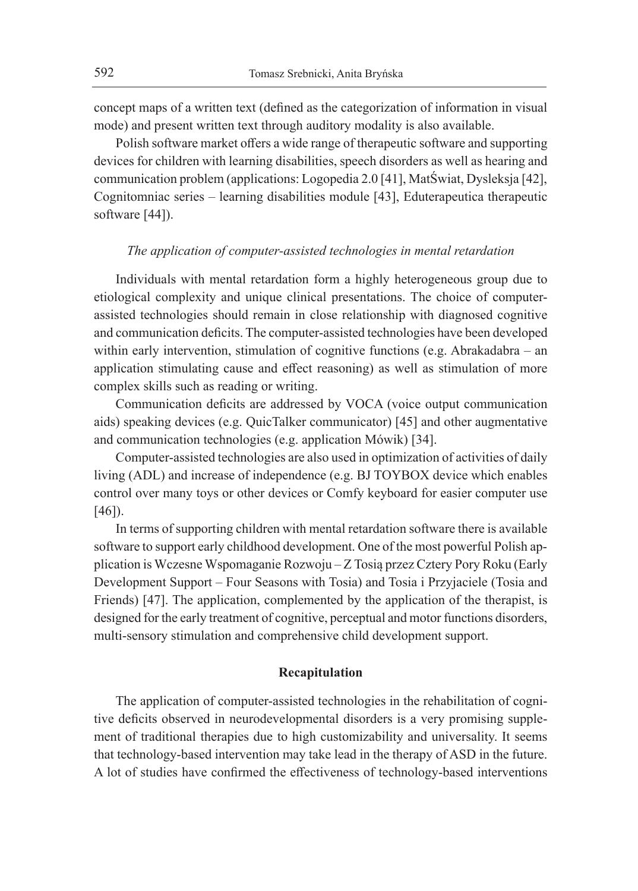concept maps of a written text (defined as the categorization of information in visual mode) and present written text through auditory modality is also available.

Polish software market offers a wide range of therapeutic software and supporting devices for children with learning disabilities, speech disorders as well as hearing and communication problem (applications: Logopedia 2.0 [41], MatŚwiat, Dysleksja [42], Cognitomniac series – learning disabilities module [43], Eduterapeutica therapeutic software [44]).

#### *The application of computer-assisted technologies in mental retardation*

Individuals with mental retardation form a highly heterogeneous group due to etiological complexity and unique clinical presentations. The choice of computerassisted technologies should remain in close relationship with diagnosed cognitive and communication deficits. The computer-assisted technologies have been developed within early intervention, stimulation of cognitive functions (e.g. Abrakadabra – an application stimulating cause and effect reasoning) as well as stimulation of more complex skills such as reading or writing.

Communication deficits are addressed by VOCA (voice output communication aids) speaking devices (e.g. QuicTalker communicator) [45] and other augmentative and communication technologies (e.g. application Mówik) [34].

Computer-assisted technologies are also used in optimization of activities of daily living (ADL) and increase of independence (e.g. BJ TOYBOX device which enables control over many toys or other devices or Comfy keyboard for easier computer use [46]).

In terms of supporting children with mental retardation software there is available software to support early childhood development. One of the most powerful Polish application is Wczesne Wspomaganie Rozwoju – Z Tosią przez Cztery Pory Roku (Early Development Support – Four Seasons with Tosia) and Tosia i Przyjaciele (Tosia and Friends) [47]. The application, complemented by the application of the therapist, is designed for the early treatment of cognitive, perceptual and motor functions disorders, multi-sensory stimulation and comprehensive child development support.

## **Recapitulation**

The application of computer-assisted technologies in the rehabilitation of cognitive deficits observed in neurodevelopmental disorders is a very promising supplement of traditional therapies due to high customizability and universality. It seems that technology-based intervention may take lead in the therapy of ASD in the future. A lot of studies have confirmed the effectiveness of technology-based interventions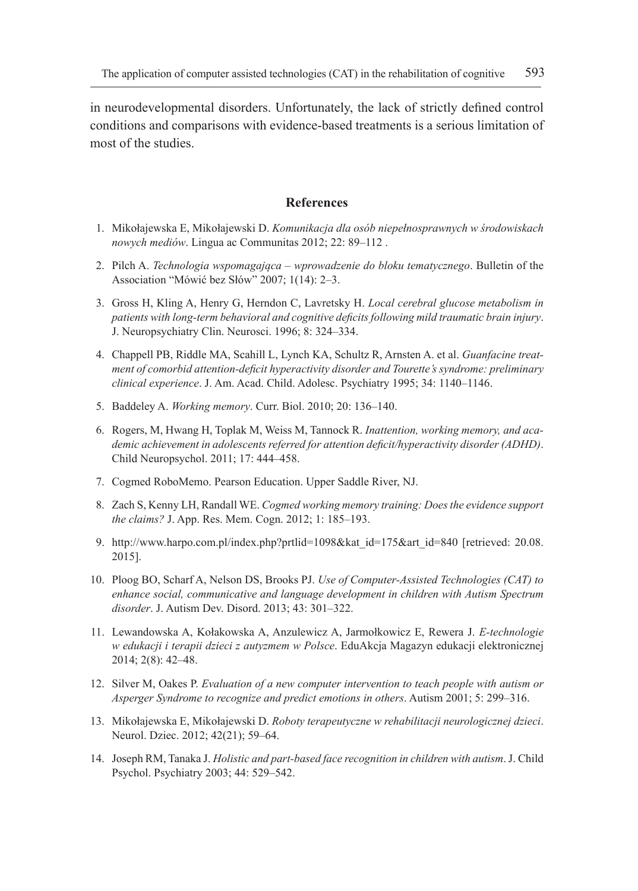in neurodevelopmental disorders. Unfortunately, the lack of strictly defined control conditions and comparisons with evidence-based treatments is a serious limitation of most of the studies.

#### **References**

- 1. Mikołajewska E, Mikołajewski D. *Komunikacja dla osób niepełnosprawnych w środowiskach nowych mediów*. Lingua ac Communitas 2012; 22: 89–112 .
- 2. Pilch A. *Technologia wspomagająca wprowadzenie do bloku tematycznego*. Bulletin of the Association "Mówić bez Słów" 2007; 1(14): 2–3.
- 3. Gross H, Kling A, Henry G, Herndon C, Lavretsky H. *Local cerebral glucose metabolism in patients with long-term behavioral and cognitive deficits following mild traumatic brain injury*. J. Neuropsychiatry Clin. Neurosci. 1996; 8: 324–334.
- 4. Chappell PB, Riddle MA, Scahill L, Lynch KA, Schultz R, Arnsten A. et al. *Guanfacine treatment of comorbid attention-deficit hyperactivity disorder and Tourette's syndrome: preliminary clinical experience*. J. Am. Acad. Child. Adolesc. Psychiatry 1995; 34: 1140–1146.
- 5. Baddeley A. *Working memory*. Curr. Biol. 2010; 20: 136–140.
- 6. Rogers, M, Hwang H, Toplak M, Weiss M, Tannock R. *Inattention, working memory, and academic achievement in adolescents referred for attention deficit/hyperactivity disorder (ADHD)*. Child Neuropsychol. 2011; 17: 444–458.
- 7. Cogmed RoboMemo. Pearson Education. Upper Saddle River, NJ.
- 8. Zach S, Kenny LH, Randall WE. *Cogmed working memory training: Does the evidence support the claims?* J. App. Res. Mem. Cogn. 2012; 1: 185–193.
- 9. http://www.harpo.com.pl/index.php?prtlid=1098&kat\_id=175&art\_id=840 [retrieved: 20.08. 2015].
- 10. Ploog BO, Scharf A, Nelson DS, Brooks PJ. *Use of Computer-Assisted Technologies (CAT) to enhance social, communicative and language development in children with Autism Spectrum disorder*. J. Autism Dev. Disord. 2013; 43: 301–322.
- 11. Lewandowska A, Kołakowska A, Anzulewicz A, Jarmołkowicz E, Rewera J. *E-technologie w edukacji i terapii dzieci z autyzmem w Polsce*. EduAkcja Magazyn edukacji elektronicznej 2014; 2(8): 42–48.
- 12. Silver M, Oakes P. *Evaluation of a new computer intervention to teach people with autism or Asperger Syndrome to recognize and predict emotions in others*. Autism 2001; 5: 299–316.
- 13. Mikołajewska E, Mikołajewski D. *Roboty terapeutyczne w rehabilitacji neurologicznej dzieci*. Neurol. Dziec. 2012; 42(21); 59–64.
- 14. Joseph RM, Tanaka J. *Holistic and part-based face recognition in children with autism*. J. Child Psychol. Psychiatry 2003; 44: 529–542.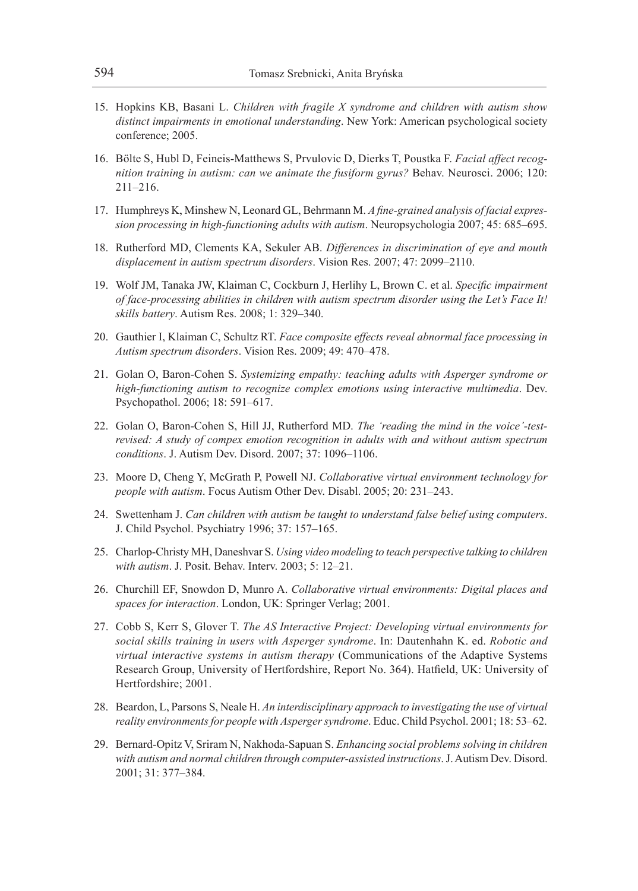- 15. Hopkins KB, Basani L. *Children with fragile X syndrome and children with autism show distinct impairments in emotional understanding*. New York: American psychological society conference; 2005.
- 16. Bölte S, Hubl D, Feineis-Matthews S, Prvulovic D, Dierks T, Poustka F. *Facial affect recognition training in autism: can we animate the fusiform gyrus?* Behav. Neurosci. 2006; 120: 211–216.
- 17. Humphreys K, Minshew N, Leonard GL, Behrmann M. *A fine-grained analysis of facial expression processing in high-functioning adults with autism*. Neuropsychologia 2007; 45: 685–695.
- 18. Rutherford MD, Clements KA, Sekuler AB. *Differences in discrimination of eye and mouth displacement in autism spectrum disorders*. Vision Res. 2007; 47: 2099–2110.
- 19. Wolf JM, Tanaka JW, Klaiman C, Cockburn J, Herlihy L, Brown C. et al. *Specific impairment of face-processing abilities in children with autism spectrum disorder using the Let's Face It! skills battery*. Autism Res. 2008; 1: 329–340.
- 20. Gauthier I, Klaiman C, Schultz RT. *Face composite effects reveal abnormal face processing in Autism spectrum disorders*. Vision Res. 2009; 49: 470–478.
- 21. Golan O, Baron-Cohen S. *Systemizing empathy: teaching adults with Asperger syndrome or high-functioning autism to recognize complex emotions using interactive multimedia*. Dev. Psychopathol. 2006; 18: 591–617.
- 22. Golan O, Baron-Cohen S, Hill JJ, Rutherford MD. *The 'reading the mind in the voice'-testrevised: A study of compex emotion recognition in adults with and without autism spectrum conditions*. J. Autism Dev. Disord. 2007; 37: 1096–1106.
- 23. Moore D, Cheng Y, McGrath P, Powell NJ. *Collaborative virtual environment technology for people with autism*. Focus Autism Other Dev. Disabl. 2005; 20: 231–243.
- 24. Swettenham J. *Can children with autism be taught to understand false belief using computers*. J. Child Psychol. Psychiatry 1996; 37: 157–165.
- 25. Charlop-Christy MH, Daneshvar S. *Using video modeling to teach perspective talking to children with autism*. J. Posit. Behav. Interv. 2003; 5: 12–21.
- 26. Churchill EF, Snowdon D, Munro A. *Collaborative virtual environments: Digital places and spaces for interaction*. London, UK: Springer Verlag; 2001.
- 27. Cobb S, Kerr S, Glover T. *The AS Interactive Project: Developing virtual environments for social skills training in users with Asperger syndrome*. In: Dautenhahn K. ed. *Robotic and virtual interactive systems in autism therapy* (Communications of the Adaptive Systems Research Group, University of Hertfordshire, Report No. 364). Hatfield, UK: University of Hertfordshire; 2001.
- 28. Beardon, L, Parsons S, Neale H. *An interdisciplinary approach to investigating the use of virtual reality environments for people with Asperger syndrome*. Educ. Child Psychol. 2001; 18: 53–62.
- 29. Bernard-Opitz V, Sriram N, Nakhoda-Sapuan S. *Enhancing social problems solving in children with autism and normal children through computer-assisted instructions*. J. Autism Dev. Disord. 2001; 31: 377–384.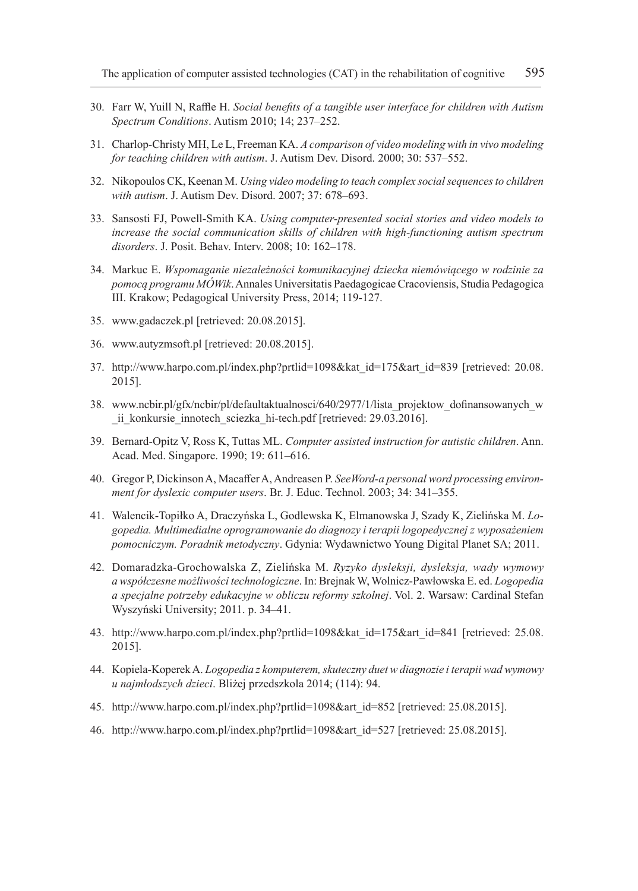- 30. Farr W, Yuill N, Raffle H. *Social benefits of a tangible user interface for children with Autism Spectrum Conditions*. Autism 2010; 14; 237–252.
- 31. Charlop-Christy MH, Le L, Freeman KA. *A comparison of video modeling with in vivo modeling for teaching children with autism*. J. Autism Dev. Disord. 2000; 30: 537–552.
- 32. Nikopoulos CK, Keenan M. *Using video modeling to teach complex social sequences to children with autism*. J. Autism Dev. Disord. 2007; 37: 678–693.
- 33. Sansosti FJ, Powell-Smith KA. *Using computer-presented social stories and video models to increase the social communication skills of children with high-functioning autism spectrum disorders*. J. Posit. Behav. Interv. 2008; 10: 162–178.
- 34. Markuc E. *Wspomaganie niezależności komunikacyjnej dziecka niemówiącego w rodzinie za pomocą programu MÓWik*. Annales Universitatis Paedagogicae Cracoviensis, Studia Pedagogica III. Krakow; Pedagogical University Press, 2014; 119-127.
- 35. www.gadaczek.pl [retrieved: 20.08.2015].
- 36. www.autyzmsoft.pl [retrieved: 20.08.2015].
- 37. http://www.harpo.com.pl/index.php?prtlid=1098&kat\_id=175&art\_id=839 [retrieved: 20.08. 2015].
- 38. www.ncbir.pl/gfx/ncbir/pl/defaultaktualnosci/640/2977/1/lista\_projektow\_dofinansowanych\_w ii konkursie innotech sciezka hi-tech.pdf [retrieved: 29.03.2016].
- 39. Bernard-Opitz V, Ross K, Tuttas ML. *Computer assisted instruction for autistic children*. Ann. Acad. Med. Singapore. 1990; 19: 611–616.
- 40. Gregor P, Dickinson A, Macaffer A, Andreasen P. *SeeWord-a personal word processing environment for dyslexic computer users*. Br. J. Educ. Technol. 2003; 34: 341–355.
- 41. Walencik-Topiłko A, Draczyńska L, Godlewska K, Elmanowska J, Szady K, Zielińska M. *Logopedia. Multimedialne oprogramowanie do diagnozy i terapii logopedycznej z wyposażeniem pomocniczym. Poradnik metodyczny*. Gdynia: Wydawnictwo Young Digital Planet SA; 2011.
- 42. Domaradzka-Grochowalska Z, Zielińska M. *Ryzyko dysleksji, dysleksja, wady wymowy a współczesne możliwości technologiczne*. In: Brejnak W, Wolnicz-Pawłowska E. ed. *Logopedia a specjalne potrzeby edukacyjne w obliczu reformy szkolnej*. Vol. 2. Warsaw: Cardinal Stefan Wyszyński University; 2011. p. 34–41.
- 43. http://www.harpo.com.pl/index.php?prtlid=1098&kat\_id=175&art\_id=841 [retrieved: 25.08. 2015].
- 44. Kopiela-Koperek A. *Logopedia z komputerem, skuteczny duet w diagnozie i terapii wad wymowy u najmłodszych dzieci*. Bliżej przedszkola 2014; (114): 94.
- 45. http://www.harpo.com.pl/index.php?prtlid=1098&art\_id=852 [retrieved: 25.08.2015].
- 46. http://www.harpo.com.pl/index.php?prtlid=1098&art\_id=527 [retrieved: 25.08.2015].